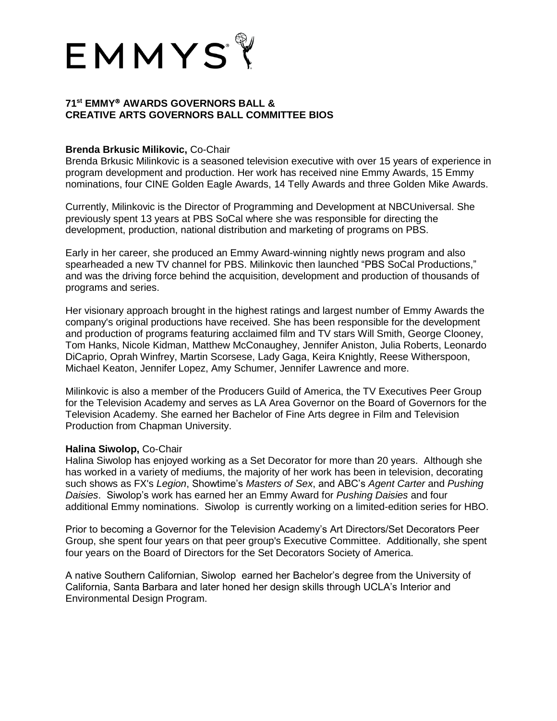

## **71st EMMY AWARDS GOVERNORS BALL & CREATIVE ARTS GOVERNORS BALL COMMITTEE BIOS**

## **Brenda Brkusic Milikovic,** Co-Chair

Brenda Brkusic Milinkovic is a seasoned television executive with over 15 years of experience in program development and production. Her work has received nine Emmy Awards, 15 Emmy nominations, four CINE Golden Eagle Awards, 14 Telly Awards and three Golden Mike Awards.

Currently, Milinkovic is the Director of Programming and Development at NBCUniversal. She previously spent 13 years at PBS SoCal where she was responsible for directing the development, production, national distribution and marketing of programs on PBS.

Early in her career, she produced an Emmy Award-winning nightly news program and also spearheaded a new TV channel for PBS. Milinkovic then launched "PBS SoCal Productions," and was the driving force behind the acquisition, development and production of thousands of programs and series.

Her visionary approach brought in the highest ratings and largest number of Emmy Awards the company's original productions have received. She has been responsible for the development and production of programs featuring acclaimed film and TV stars Will Smith, George Clooney, Tom Hanks, Nicole Kidman, Matthew McConaughey, Jennifer Aniston, Julia Roberts, Leonardo DiCaprio, Oprah Winfrey, Martin Scorsese, Lady Gaga, Keira Knightly, Reese Witherspoon, Michael Keaton, Jennifer Lopez, Amy Schumer, Jennifer Lawrence and more.

Milinkovic is also a member of the Producers Guild of America, the TV Executives Peer Group for the Television Academy and serves as LA Area Governor on the Board of Governors for the Television Academy. She earned her Bachelor of Fine Arts degree in Film and Television Production from Chapman University.

## **Halina Siwolop,** Co-Chair

Halina Siwolop has enjoyed working as a Set Decorator for more than 20 years. Although she has worked in a variety of mediums, the majority of her work has been in television, decorating such shows as FX's *Legion*, Showtime's *Masters of Sex*, and ABC's *Agent Carter* and *Pushing Daisies*. Siwolop's work has earned her an Emmy Award for *Pushing Daisies* and four additional Emmy nominations. Siwolop is currently working on a limited-edition series for HBO.

Prior to becoming a Governor for the Television Academy's Art Directors/Set Decorators Peer Group, she spent four years on that peer group's Executive Committee. Additionally, she spent four years on the Board of Directors for the Set Decorators Society of America.

A native Southern Californian, Siwolop earned her Bachelor's degree from the University of California, Santa Barbara and later honed her design skills through UCLA's Interior and Environmental Design Program.